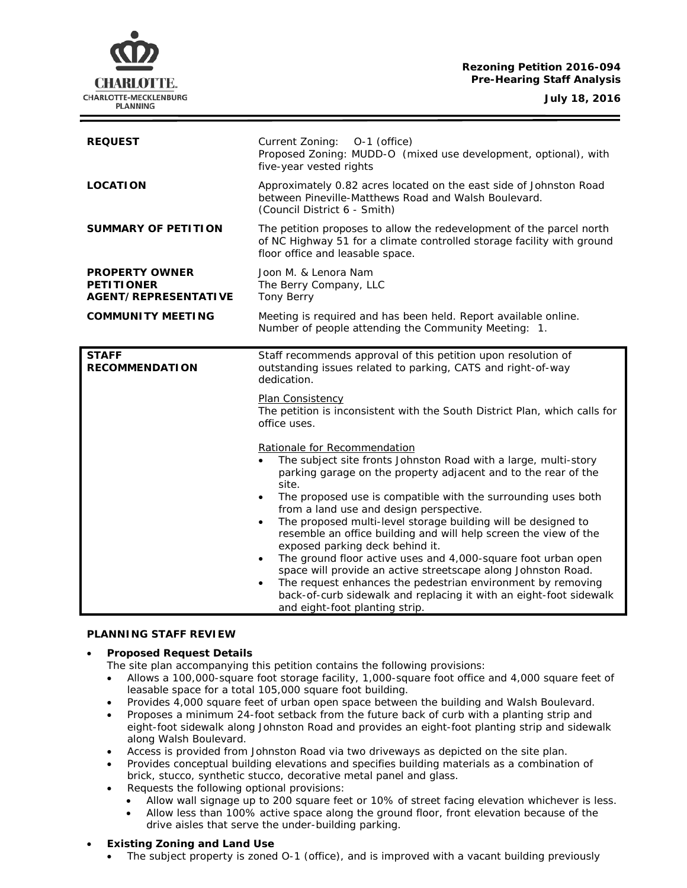## **Rezoning Petition 2016-094 Pre-Hearing Staff Analysis**

**July 18, 2016**



| <b>REQUEST</b>                                                            | Current Zoning: 0-1 (office)<br>Proposed Zoning: MUDD-O (mixed use development, optional), with<br>five-year vested rights                                                                                                                                                                                                                                                                                                                                                                                                                                                                                                                                                                                                                                                                                                  |
|---------------------------------------------------------------------------|-----------------------------------------------------------------------------------------------------------------------------------------------------------------------------------------------------------------------------------------------------------------------------------------------------------------------------------------------------------------------------------------------------------------------------------------------------------------------------------------------------------------------------------------------------------------------------------------------------------------------------------------------------------------------------------------------------------------------------------------------------------------------------------------------------------------------------|
| <b>LOCATION</b>                                                           | Approximately 0.82 acres located on the east side of Johnston Road<br>between Pineville-Matthews Road and Walsh Boulevard.<br>(Council District 6 - Smith)                                                                                                                                                                                                                                                                                                                                                                                                                                                                                                                                                                                                                                                                  |
| <b>SUMMARY OF PETITION</b>                                                | The petition proposes to allow the redevelopment of the parcel north<br>of NC Highway 51 for a climate controlled storage facility with ground<br>floor office and leasable space.                                                                                                                                                                                                                                                                                                                                                                                                                                                                                                                                                                                                                                          |
| <b>PROPERTY OWNER</b><br><b>PETITIONER</b><br><b>AGENT/REPRESENTATIVE</b> | Joon M. & Lenora Nam<br>The Berry Company, LLC<br><b>Tony Berry</b>                                                                                                                                                                                                                                                                                                                                                                                                                                                                                                                                                                                                                                                                                                                                                         |
| <b>COMMUNITY MEETING</b>                                                  | Meeting is required and has been held. Report available online.<br>Number of people attending the Community Meeting: 1.                                                                                                                                                                                                                                                                                                                                                                                                                                                                                                                                                                                                                                                                                                     |
| <b>STAFF</b><br><b>RECOMMENDATION</b>                                     | Staff recommends approval of this petition upon resolution of<br>outstanding issues related to parking, CATS and right-of-way<br>dedication.                                                                                                                                                                                                                                                                                                                                                                                                                                                                                                                                                                                                                                                                                |
|                                                                           | <b>Plan Consistency</b><br>The petition is inconsistent with the South District Plan, which calls for<br>office uses.                                                                                                                                                                                                                                                                                                                                                                                                                                                                                                                                                                                                                                                                                                       |
|                                                                           | Rationale for Recommendation<br>The subject site fronts Johnston Road with a large, multi-story<br>parking garage on the property adjacent and to the rear of the<br>site.<br>The proposed use is compatible with the surrounding uses both<br>$\bullet$<br>from a land use and design perspective.<br>The proposed multi-level storage building will be designed to<br>$\bullet$<br>resemble an office building and will help screen the view of the<br>exposed parking deck behind it.<br>The ground floor active uses and 4,000-square foot urban open<br>$\bullet$<br>space will provide an active streetscape along Johnston Road.<br>The request enhances the pedestrian environment by removing<br>$\bullet$<br>back-of-curb sidewalk and replacing it with an eight-foot sidewalk<br>and eight-foot planting strip. |

## **PLANNING STAFF REVIEW**

### • **Proposed Request Details**

The site plan accompanying this petition contains the following provisions:

- Allows a 100,000-square foot storage facility, 1,000-square foot office and 4,000 square feet of leasable space for a total 105,000 square foot building.
- Provides 4,000 square feet of urban open space between the building and Walsh Boulevard.
- Proposes a minimum 24-foot setback from the future back of curb with a planting strip and eight-foot sidewalk along Johnston Road and provides an eight-foot planting strip and sidewalk along Walsh Boulevard.
- Access is provided from Johnston Road via two driveways as depicted on the site plan.
- Provides conceptual building elevations and specifies building materials as a combination of brick, stucco, synthetic stucco, decorative metal panel and glass.
- Requests the following optional provisions:
	- Allow wall signage up to 200 square feet or 10% of street facing elevation whichever is less.
	- Allow less than 100% active space along the ground floor, front elevation because of the drive aisles that serve the under-building parking.

## • **Existing Zoning and Land Use**

• The subject property is zoned O-1 (office), and is improved with a vacant building previously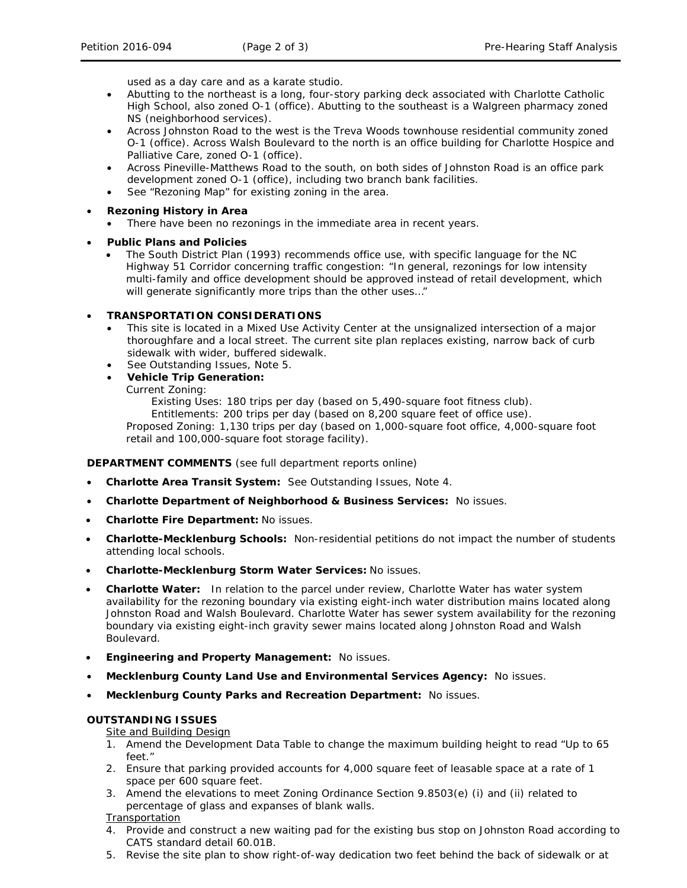used as a day care and as a karate studio.

- Abutting to the northeast is a long, four-story parking deck associated with Charlotte Catholic High School, also zoned O-1 (office). Abutting to the southeast is a Walgreen pharmacy zoned NS (neighborhood services).
- Across Johnston Road to the west is the Treva Woods townhouse residential community zoned O-1 (office). Across Walsh Boulevard to the north is an office building for Charlotte Hospice and Palliative Care, zoned O-1 (office).
- Across Pineville-Matthews Road to the south, on both sides of Johnston Road is an office park development zoned O-1 (office), including two branch bank facilities.
- See "Rezoning Map" for existing zoning in the area.

## • **Rezoning History in Area**

- There have been no rezonings in the immediate area in recent years.
- **Public Plans and Policies**
	- The *South District Plan* (1993) recommends office use, with specific language for the NC Highway 51 Corridor concerning traffic congestion: "In general, rezonings for low intensity multi-family and office development should be approved instead of retail development, which will generate significantly more trips than the other uses..."

### • **TRANSPORTATION CONSIDERATIONS**

- This site is located in a Mixed Use Activity Center at the unsignalized intersection of a major thoroughfare and a local street. The current site plan replaces existing, narrow back of curb sidewalk with wider, buffered sidewalk.
- See Outstanding Issues, Note 5.
- **Vehicle Trip Generation:**

Current Zoning:

Existing Uses: 180 trips per day (based on 5,490-square foot fitness club).

Entitlements: 200 trips per day (based on 8,200 square feet of office use).

Proposed Zoning: 1,130 trips per day (based on 1,000-square foot office, 4,000-square foot retail and 100,000-square foot storage facility).

### **DEPARTMENT COMMENTS** (see full department reports online)

- **Charlotte Area Transit System:** See Outstanding Issues, Note 4.
- **Charlotte Department of Neighborhood & Business Services:** No issues.
- **Charlotte Fire Department:** No issues.
- **Charlotte-Mecklenburg Schools:** Non-residential petitions do not impact the number of students attending local schools.
- **Charlotte-Mecklenburg Storm Water Services:** No issues.
- **Charlotte Water:** In relation to the parcel under review, Charlotte Water has water system availability for the rezoning boundary via existing eight-inch water distribution mains located along Johnston Road and Walsh Boulevard. Charlotte Water has sewer system availability for the rezoning boundary via existing eight-inch gravity sewer mains located along Johnston Road and Walsh Boulevard.
- **Engineering and Property Management:** No issues.
- **Mecklenburg County Land Use and Environmental Services Agency:** No issues.
- **Mecklenburg County Parks and Recreation Department:** No issues.

### **OUTSTANDING ISSUES**

# **Site and Building Design**

- 1. Amend the Development Data Table to change the maximum building height to read "Up to 65  $f \rho f$  "
- 2. Ensure that parking provided accounts for 4,000 square feet of leasable space at a rate of 1 space per 600 square feet.
- 3. Amend the elevations to meet Zoning Ordinance Section 9.8503(e) (i) and (ii) related to percentage of glass and expanses of blank walls.

### Transportation

- 4. Provide and construct a new waiting pad for the existing bus stop on Johnston Road according to CATS standard detail 60.01B.
- 5. Revise the site plan to show right-of-way dedication two feet behind the back of sidewalk or at